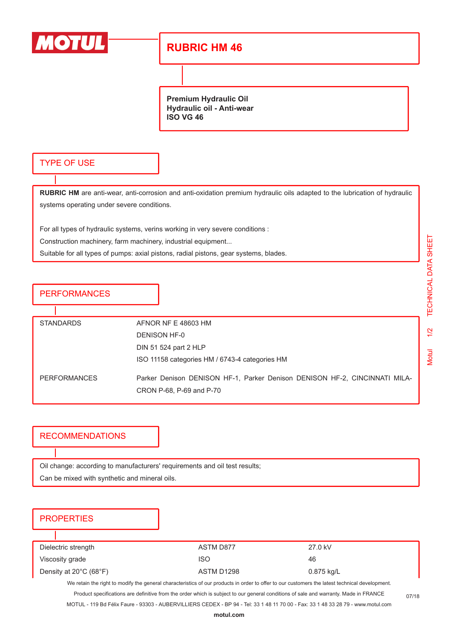

## **RUBRIC HM 46**

**Premium Hydraulic Oil Hydraulic oil - Anti-wear ISO VG 46**

#### TYPE OF USE

**RUBRIC HM** are anti-wear, anti-corrosion and anti-oxidation premium hydraulic oils adapted to the lubrication of hydraulic systems operating under severe conditions.

For all types of hydraulic systems, verins working in very severe conditions :

Construction machinery, farm machinery, industrial equipment...

Suitable for all types of pumps: axial pistons, radial pistons, gear systems, blades.

**PERFORMANCES** 

| <b>STANDARDS</b>    | AFNOR NF E 48603 HM                                                                                    |
|---------------------|--------------------------------------------------------------------------------------------------------|
|                     | DENISON HF-0                                                                                           |
|                     | DIN 51 524 part 2 HLP                                                                                  |
|                     | ISO 11158 categories HM / 6743-4 categories HM                                                         |
| <b>PERFORMANCES</b> | Parker Denison DENISON HF-1, Parker Denison DENISON HF-2, CINCINNATI MILA-<br>CRON P-68, P-69 and P-70 |
|                     |                                                                                                        |

#### RECOMMENDATIONS

Oil change: according to manufacturers' requirements and oil test results; Can be mixed with synthetic and mineral oils.

### **PROPERTIES**

| Dielectric strength                         | ASTM D877  | 27.0 kV    |
|---------------------------------------------|------------|------------|
| Viscosity grade                             | ISO        | 46         |
| Density at $20^{\circ}$ C (68 $^{\circ}$ F) | ASTM D1298 | 0.875 kg/L |

We retain the right to modify the general characteristics of our products in order to offer to our customers the latest technical development.

MOTUL - 119 Bd Félix Faure - 93303 - AUBERVILLIERS CEDEX - BP 94 - Tel: 33 1 48 11 70 00 - Fax: 33 1 48 33 28 79 - www.motul.com

07/18